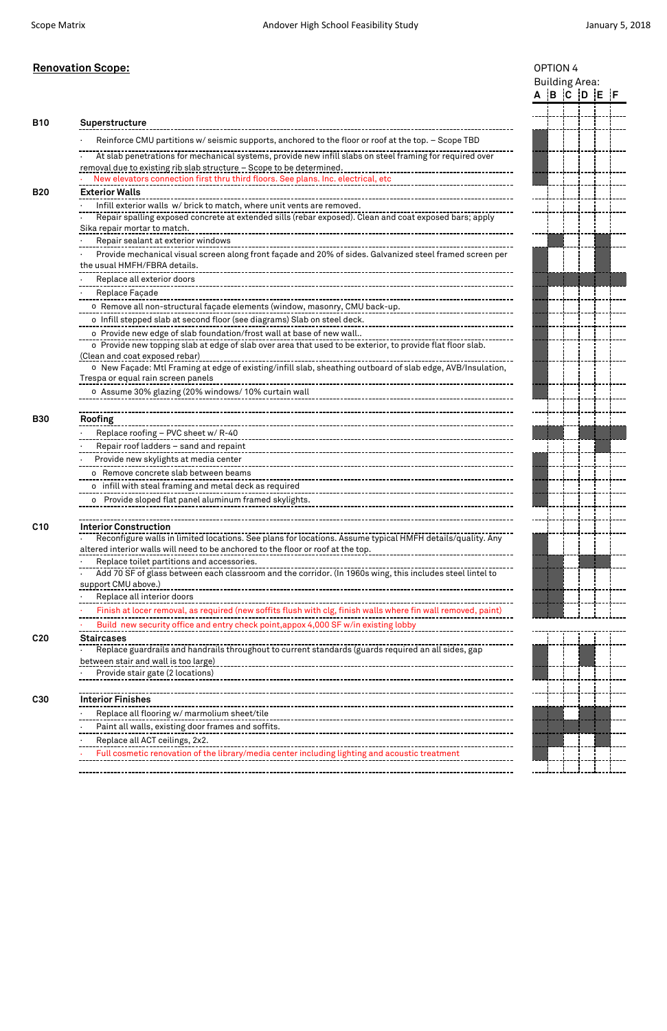|                 | <b>Renovation Scope:</b>                                                                                                                                                                      |  | OPTION 4 |                       |  |             |  |  |  |  |
|-----------------|-----------------------------------------------------------------------------------------------------------------------------------------------------------------------------------------------|--|----------|-----------------------|--|-------------|--|--|--|--|
|                 |                                                                                                                                                                                               |  |          | <b>Building Area:</b> |  |             |  |  |  |  |
|                 |                                                                                                                                                                                               |  |          |                       |  | A B C D E F |  |  |  |  |
|                 |                                                                                                                                                                                               |  |          |                       |  |             |  |  |  |  |
| <b>B10</b>      | Superstructure                                                                                                                                                                                |  |          |                       |  |             |  |  |  |  |
|                 | Reinforce CMU partitions w/ seismic supports, anchored to the floor or roof at the top. - Scope TBD                                                                                           |  |          |                       |  |             |  |  |  |  |
|                 | At slab penetrations for mechanical systems, provide new infill slabs on steel framing for required over<br>removal due to existing rib slab structure - Scope to be determined.              |  |          |                       |  |             |  |  |  |  |
|                 |                                                                                                                                                                                               |  |          |                       |  |             |  |  |  |  |
| <b>B20</b>      | <b>Exterior Walls</b>                                                                                                                                                                         |  |          |                       |  |             |  |  |  |  |
|                 | Infill exterior walls w/ brick to match, where unit vents are removed.                                                                                                                        |  |          |                       |  |             |  |  |  |  |
|                 | Repair spalling exposed concrete at extended sills (rebar exposed). Clean and coat exposed bars; apply                                                                                        |  |          |                       |  |             |  |  |  |  |
|                 | Sika repair mortar to match.                                                                                                                                                                  |  |          |                       |  |             |  |  |  |  |
|                 | Repair sealant at exterior windows                                                                                                                                                            |  |          |                       |  |             |  |  |  |  |
|                 | Provide mechanical visual screen along front façade and 20% of sides. Galvanized steel framed screen per<br>the usual HMFH/FBRA details.                                                      |  |          |                       |  |             |  |  |  |  |
|                 | Replace all exterior doors                                                                                                                                                                    |  |          |                       |  |             |  |  |  |  |
|                 | Replace Façade                                                                                                                                                                                |  |          |                       |  |             |  |  |  |  |
|                 | o Remove all non-structural façade elements (window, masonry, CMU back-up.                                                                                                                    |  |          |                       |  |             |  |  |  |  |
|                 | o Infill stepped slab at second floor (see diagrams) Slab on steel deck.                                                                                                                      |  |          |                       |  |             |  |  |  |  |
|                 | o Provide new edge of slab foundation/frost wall at base of new wall                                                                                                                          |  |          |                       |  |             |  |  |  |  |
|                 | (Clean and coat exposed rebar)                                                                                                                                                                |  |          |                       |  |             |  |  |  |  |
|                 | o New Façade: Mtl Framing at edge of existing/infill slab, sheathing outboard of slab edge, AVB/Insulation,<br>Trespa or equal rain screen panels                                             |  |          |                       |  |             |  |  |  |  |
|                 |                                                                                                                                                                                               |  |          |                       |  |             |  |  |  |  |
|                 |                                                                                                                                                                                               |  |          |                       |  |             |  |  |  |  |
| <b>B30</b>      | Roofing                                                                                                                                                                                       |  |          |                       |  |             |  |  |  |  |
|                 | Replace roofing - PVC sheet w/R-40                                                                                                                                                            |  |          |                       |  |             |  |  |  |  |
|                 | Repair roof ladders - sand and repaint                                                                                                                                                        |  |          |                       |  |             |  |  |  |  |
|                 | Provide new skylights at media center                                                                                                                                                         |  |          |                       |  |             |  |  |  |  |
|                 | o Remove concrete slab between beams                                                                                                                                                          |  |          |                       |  |             |  |  |  |  |
|                 | o infill with steal framing and metal deck as required                                                                                                                                        |  |          |                       |  |             |  |  |  |  |
|                 | o Provide sloped flat panel aluminum framed skylights.                                                                                                                                        |  |          |                       |  |             |  |  |  |  |
| C <sub>10</sub> | <b>Interior Construction</b>                                                                                                                                                                  |  |          |                       |  |             |  |  |  |  |
|                 | Reconfigure walls in limited locations. See plans for locations. Assume typical HMFH details/quality. Any<br>altered interior walls will need to be anchored to the floor or roof at the top. |  |          |                       |  |             |  |  |  |  |
|                 | Replace toilet partitions and accessories.                                                                                                                                                    |  |          |                       |  |             |  |  |  |  |
|                 |                                                                                                                                                                                               |  |          |                       |  |             |  |  |  |  |
|                 | support CMU above.)                                                                                                                                                                           |  |          |                       |  |             |  |  |  |  |
|                 | Replace all interior doors                                                                                                                                                                    |  |          |                       |  |             |  |  |  |  |
|                 | Finish at locer removal, as required (new soffits flush with clg, finish walls where fin wall removed, paint)                                                                                 |  |          |                       |  |             |  |  |  |  |
|                 | Build new security office and entry check point, appox 4,000 SF w/in existing lobby                                                                                                           |  |          |                       |  |             |  |  |  |  |
| C <sub>20</sub> | <b>Staircases</b>                                                                                                                                                                             |  |          |                       |  |             |  |  |  |  |
|                 | Replace guardrails and handrails throughout to current standards (guards required an all sides, gap                                                                                           |  |          |                       |  |             |  |  |  |  |
|                 | between stair and wall is too large)<br>Provide stair gate (2 locations)                                                                                                                      |  |          |                       |  |             |  |  |  |  |
|                 |                                                                                                                                                                                               |  |          |                       |  |             |  |  |  |  |
| C30             | <b>Interior Finishes</b>                                                                                                                                                                      |  |          |                       |  |             |  |  |  |  |
|                 | Replace all flooring w/ marmolium sheet/tile                                                                                                                                                  |  |          |                       |  |             |  |  |  |  |
|                 | Paint all walls, existing door frames and soffits.                                                                                                                                            |  |          |                       |  |             |  |  |  |  |
|                 | Replace all ACT ceilings, 2x2.                                                                                                                                                                |  |          |                       |  |             |  |  |  |  |
|                 | Full cosmetic renovation of the library/media center including lighting and acoustic treatment                                                                                                |  |          |                       |  |             |  |  |  |  |
|                 |                                                                                                                                                                                               |  |          |                       |  |             |  |  |  |  |

|                                |  | ---------------------------- |  |
|--------------------------------|--|------------------------------|--|
|                                |  |                              |  |
|                                |  |                              |  |
|                                |  |                              |  |
| ------------------------------ |  |                              |  |
|                                |  |                              |  |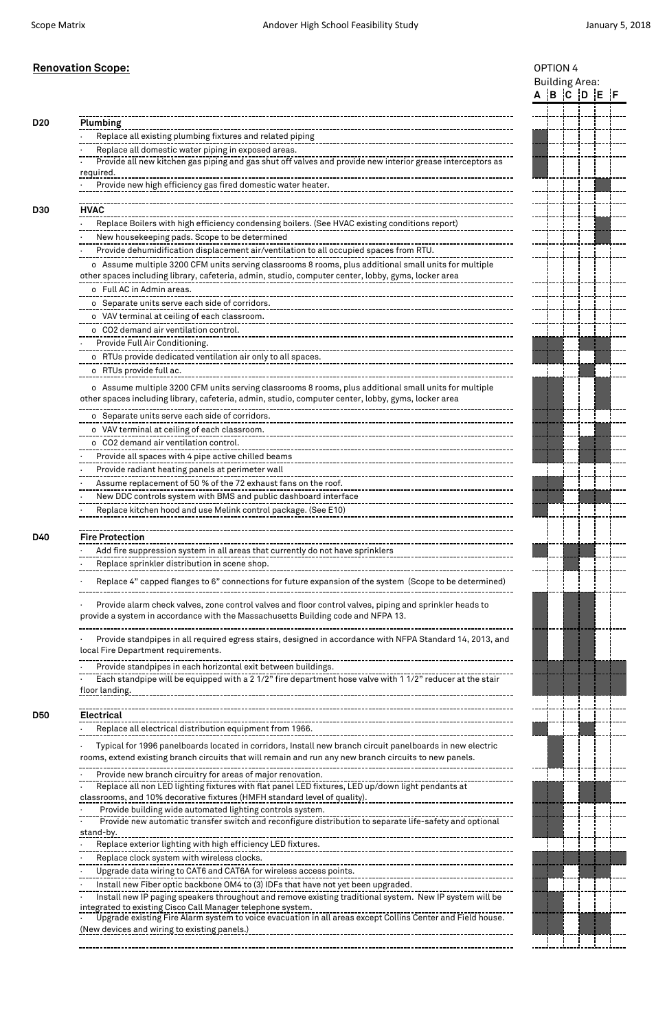| <b>Renovation Scope:</b>                                                                                                                                                                                     |                       | OPTION 4                |  |  |  |  |  |  |
|--------------------------------------------------------------------------------------------------------------------------------------------------------------------------------------------------------------|-----------------------|-------------------------|--|--|--|--|--|--|
|                                                                                                                                                                                                              | <b>Building Area:</b> |                         |  |  |  |  |  |  |
|                                                                                                                                                                                                              |                       | $A$ $B$ $C$ $D$ $E$ $F$ |  |  |  |  |  |  |
|                                                                                                                                                                                                              |                       |                         |  |  |  |  |  |  |
| <b>Plumbing</b>                                                                                                                                                                                              |                       |                         |  |  |  |  |  |  |
| Replace all existing plumbing fixtures and related piping                                                                                                                                                    |                       |                         |  |  |  |  |  |  |
| Replace all domestic water piping in exposed areas.                                                                                                                                                          |                       |                         |  |  |  |  |  |  |
| Provide all new kitchen gas piping and gas shut off valves and provide new interior grease interceptors as<br>required.                                                                                      |                       |                         |  |  |  |  |  |  |
| Provide new high efficiency gas fired domestic water heater.                                                                                                                                                 |                       |                         |  |  |  |  |  |  |
| <b>HVAC</b>                                                                                                                                                                                                  |                       |                         |  |  |  |  |  |  |
| Replace Boilers with high efficiency condensing boilers. (See HVAC existing conditions report)                                                                                                               |                       |                         |  |  |  |  |  |  |
| New housekeeping pads. Scope to be determined                                                                                                                                                                |                       |                         |  |  |  |  |  |  |
| Provide dehumidification displacement air/ventilation to all occupied spaces from RTU.                                                                                                                       |                       |                         |  |  |  |  |  |  |
| o Assume multiple 3200 CFM units serving classrooms 8 rooms, plus additional small units for multiple                                                                                                        |                       |                         |  |  |  |  |  |  |
| other spaces including library, cafeteria, admin, studio, computer center, lobby, gyms, locker area                                                                                                          |                       |                         |  |  |  |  |  |  |
| o Full AC in Admin areas.                                                                                                                                                                                    |                       |                         |  |  |  |  |  |  |
|                                                                                                                                                                                                              |                       |                         |  |  |  |  |  |  |
| o VAV terminal at ceiling of each classroom.                                                                                                                                                                 |                       |                         |  |  |  |  |  |  |
| o CO2 demand air ventilation control.                                                                                                                                                                        |                       |                         |  |  |  |  |  |  |
| Provide Full Air Conditioning.                                                                                                                                                                               |                       |                         |  |  |  |  |  |  |
| -----<br>o RTUs provide dedicated ventilation air only to all spaces.                                                                                                                                        |                       |                         |  |  |  |  |  |  |
| o RTUs provide full ac.                                                                                                                                                                                      |                       |                         |  |  |  |  |  |  |
| o Assume multiple 3200 CFM units serving classrooms 8 rooms, plus additional small units for multiple<br>other spaces including library, cafeteria, admin, studio, computer center, lobby, gyms, locker area |                       |                         |  |  |  |  |  |  |
| o Separate units serve each side of corridors.                                                                                                                                                               |                       |                         |  |  |  |  |  |  |
| o VAV terminal at ceiling of each classroom.                                                                                                                                                                 |                       |                         |  |  |  |  |  |  |
| o CO2 demand air ventilation control.                                                                                                                                                                        |                       |                         |  |  |  |  |  |  |
| Provide all spaces with 4 pipe active chilled beams                                                                                                                                                          |                       |                         |  |  |  |  |  |  |
| Provide radiant heating panels at perimeter wall                                                                                                                                                             |                       |                         |  |  |  |  |  |  |
| Assume replacement of 50 % of the 72 exhaust fans on the roof.                                                                                                                                               |                       |                         |  |  |  |  |  |  |
| New DDC controls system with BMS and public dashboard interface                                                                                                                                              |                       |                         |  |  |  |  |  |  |
| -----------------------------<br>Replace kitchen hood and use Melink control package. (See E10)                                                                                                              |                       |                         |  |  |  |  |  |  |
| <b>Fire Protection</b>                                                                                                                                                                                       |                       |                         |  |  |  |  |  |  |
|                                                                                                                                                                                                              |                       |                         |  |  |  |  |  |  |
| Replace sprinkler distribution in scene shop.                                                                                                                                                                |                       |                         |  |  |  |  |  |  |
| Replace 4" capped flanges to 6" connections for future expansion of the system (Scope to be determined)                                                                                                      |                       |                         |  |  |  |  |  |  |
| Provide alarm check valves, zone control valves and floor control valves, piping and sprinkler heads to<br>provide a system in accordance with the Massachusetts Building code and NFPA 13.                  |                       |                         |  |  |  |  |  |  |
| Provide standpipes in all required egress stairs, designed in accordance with NFPA Standard 14, 2013, and<br>local Fire Department requirements.                                                             |                       |                         |  |  |  |  |  |  |
| Provide standpipes in each horizontal exit between buildings.                                                                                                                                                |                       |                         |  |  |  |  |  |  |
| Each standpipe will be equipped with a 2 1/2" fire department hose valve with 1 1/2" reducer at the stair<br>floor landing.                                                                                  |                       |                         |  |  |  |  |  |  |
| <b>Electrical</b>                                                                                                                                                                                            |                       |                         |  |  |  |  |  |  |
| Replace all electrical distribution equipment from 1966.                                                                                                                                                     |                       |                         |  |  |  |  |  |  |

- Provide new branch circuitry for areas of major renovation.
- · Replace all non LED lighting fixtures with flat panel LED fixtures, LED up/down light pendants at classrooms, and 10% decorative fixtures (HMFH standard level of quality).
- Provide building wide automated lighting controls system.
- · Provide new automatic transfer switch and reconfigure distribution to separate life-safety and optional
- stand-by.
- Replace exterior lighting with high efficiency LED fixtures.
- Replace clock system with wireless clocks.
- Upgrade data wiring to CAT6 and CAT6A for wireless access points.
- · Install new Fiber optic backbone OM4 to (3) IDFs that have not yet been upgraded.
- · Install new IP paging speakers throughout and remove existing traditional system. New IP system will be integrated to existing Cisco Call Manager telephone system.
- <u>-grated to existing Cisco Catt Manager tetephone system.</u><br>Upgrade existing Fire Alarm system to voice evacuation in all areas except Collins Center and Field house. (New devices and wiring to existing panels.)



· Typical for 1996 panelboards located in corridors, Install new branch circuit panelboards in new electric

rooms, extend existing branch circuits that will remain and run any new branch circuits to new panels.